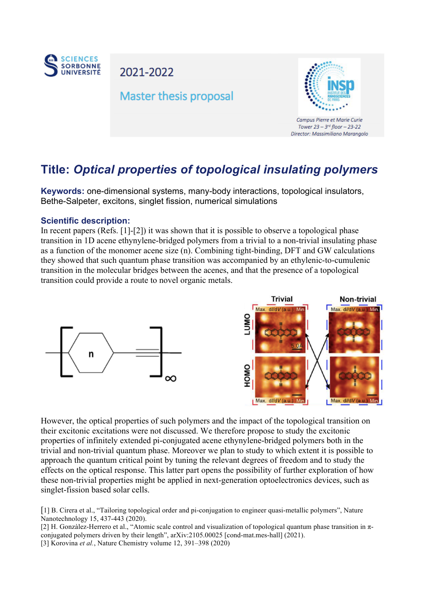

2021-2022

## **Master thesis proposal**



Campus Pierre et Marie Curie Tower 23 - 3rd floor - 23-22 Director: Massimiliano Marangolo

## **Title:** *Optical properties of topological insulating polymers*

**Keywords:** one-dimensional systems, many-body interactions, topological insulators, Bethe-Salpeter, excitons, singlet fission, numerical simulations

## **Scientific description:**

In recent papers (Refs. [1]-[2]) it was shown that it is possible to observe a topological phase transition in 1D acene ethynylene-bridged polymers from a trivial to a non-trivial insulating phase as a function of the monomer acene size (n). Combining tight-binding, DFT and GW calculations they showed that such quantum phase transition was accompanied by an ethylenic-to-cumulenic transition in the molecular bridges between the acenes, and that the presence of a topological transition could provide a route to novel organic metals.



However, the optical properties of such polymers and the impact of the topological transition on their excitonic excitations were not discussed. We therefore propose to study the excitonic properties of infinitely extended pi-conjugated acene ethynylene-bridged polymers both in the trivial and non-trivial quantum phase. Moreover we plan to study to which extent it is possible to approach the quantum critical point by tuning the relevant degrees of freedom and to study the effects on the optical response. This latter part opens the possibility of further exploration of how these non-trivial properties might be applied in next-generation optoelectronics devices, such as singlet-fission based solar cells.

[1] B. Cirera et al., "Tailoring topological order and pi-conjugation to engineer quasi-metallic polymers", Nature Nanotechnology 15, 437-443 (2020).

[2] H. Gonzàlez-Herrero et al., "Atomic scale control and visualization of topological quantum phase transition in πconjugated polymers driven by their length", arXiv:2105.00025 [cond-mat.mes-hall] (2021). [3] Korovina *et al.*, Nature Chemistry volume 12, 391–398 (2020)